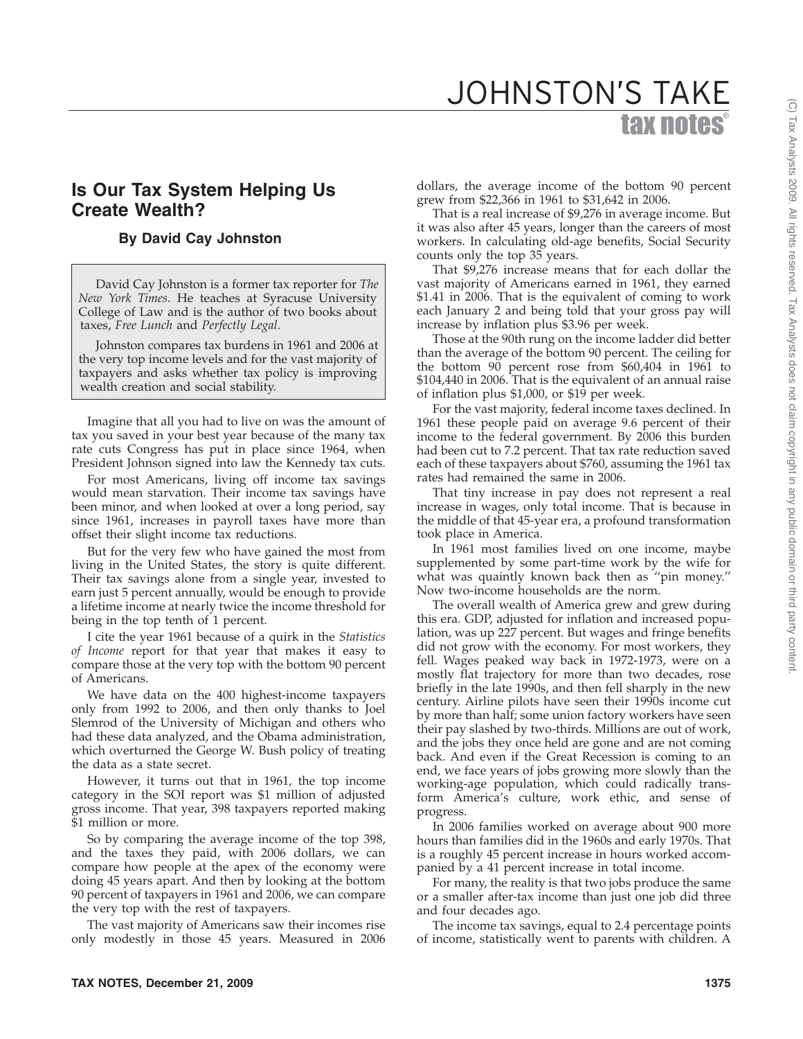# tax notes® JOHNSTON'S TAKE

# **Is Our Tax System Helping Us Create Wealth?**

## **By David Cay Johnston**

David Cay Johnston is a former tax reporter for *The New York Times*. He teaches at Syracuse University College of Law and is the author of two books about taxes, *Free Lunch* and *Perfectly Legal*.

Johnston compares tax burdens in 1961 and 2006 at the very top income levels and for the vast majority of taxpayers and asks whether tax policy is improving wealth creation and social stability.

Imagine that all you had to live on was the amount of tax you saved in your best year because of the many tax rate cuts Congress has put in place since 1964, when President Johnson signed into law the Kennedy tax cuts.

For most Americans, living off income tax savings would mean starvation. Their income tax savings have been minor, and when looked at over a long period, say since 1961, increases in payroll taxes have more than offset their slight income tax reductions.

But for the very few who have gained the most from living in the United States, the story is quite different. Their tax savings alone from a single year, invested to earn just 5 percent annually, would be enough to provide a lifetime income at nearly twice the income threshold for being in the top tenth of 1 percent.

I cite the year 1961 because of a quirk in the *Statistics of Income* report for that year that makes it easy to compare those at the very top with the bottom 90 percent of Americans.

We have data on the 400 highest-income taxpayers only from 1992 to 2006, and then only thanks to Joel Slemrod of the University of Michigan and others who had these data analyzed, and the Obama administration, which overturned the George W. Bush policy of treating the data as a state secret.

However, it turns out that in 1961, the top income category in the SOI report was \$1 million of adjusted gross income. That year, 398 taxpayers reported making \$1 million or more.

So by comparing the average income of the top 398, and the taxes they paid, with 2006 dollars, we can compare how people at the apex of the economy were doing 45 years apart. And then by looking at the bottom 90 percent of taxpayers in 1961 and 2006, we can compare the very top with the rest of taxpayers.

The vast majority of Americans saw their incomes rise only modestly in those 45 years. Measured in 2006 dollars, the average income of the bottom 90 percent grew from \$22,366 in 1961 to \$31,642 in 2006.

That is a real increase of \$9,276 in average income. But it was also after 45 years, longer than the careers of most workers. In calculating old-age benefits, Social Security counts only the top 35 years.

That \$9,276 increase means that for each dollar the vast majority of Americans earned in 1961, they earned \$1.41 in 2006. That is the equivalent of coming to work each January 2 and being told that your gross pay will increase by inflation plus \$3.96 per week.

Those at the 90th rung on the income ladder did better than the average of the bottom 90 percent. The ceiling for the bottom 90 percent rose from \$60,404 in 1961 to \$104,440 in 2006. That is the equivalent of an annual raise of inflation plus \$1,000, or \$19 per week.

For the vast majority, federal income taxes declined. In 1961 these people paid on average 9.6 percent of their income to the federal government. By 2006 this burden had been cut to 7.2 percent. That tax rate reduction saved each of these taxpayers about \$760, assuming the 1961 tax rates had remained the same in 2006.

That tiny increase in pay does not represent a real increase in wages, only total income. That is because in the middle of that 45-year era, a profound transformation took place in America.

In 1961 most families lived on one income, maybe supplemented by some part-time work by the wife for what was quaintly known back then as ''pin money.'' Now two-income households are the norm.

The overall wealth of America grew and grew during this era. GDP, adjusted for inflation and increased population, was up 227 percent. But wages and fringe benefits did not grow with the economy. For most workers, they fell. Wages peaked way back in 1972-1973, were on a mostly flat trajectory for more than two decades, rose briefly in the late 1990s, and then fell sharply in the new century. Airline pilots have seen their 1990s income cut by more than half; some union factory workers have seen their pay slashed by two-thirds. Millions are out of work, and the jobs they once held are gone and are not coming back. And even if the Great Recession is coming to an end, we face years of jobs growing more slowly than the working-age population, which could radically transform America's culture, work ethic, and sense of progress.

In 2006 families worked on average about 900 more hours than families did in the 1960s and early 1970s. That is a roughly 45 percent increase in hours worked accompanied by a 41 percent increase in total income.

For many, the reality is that two jobs produce the same or a smaller after-tax income than just one job did three and four decades ago.

The income tax savings, equal to 2.4 percentage points of income, statistically went to parents with children. A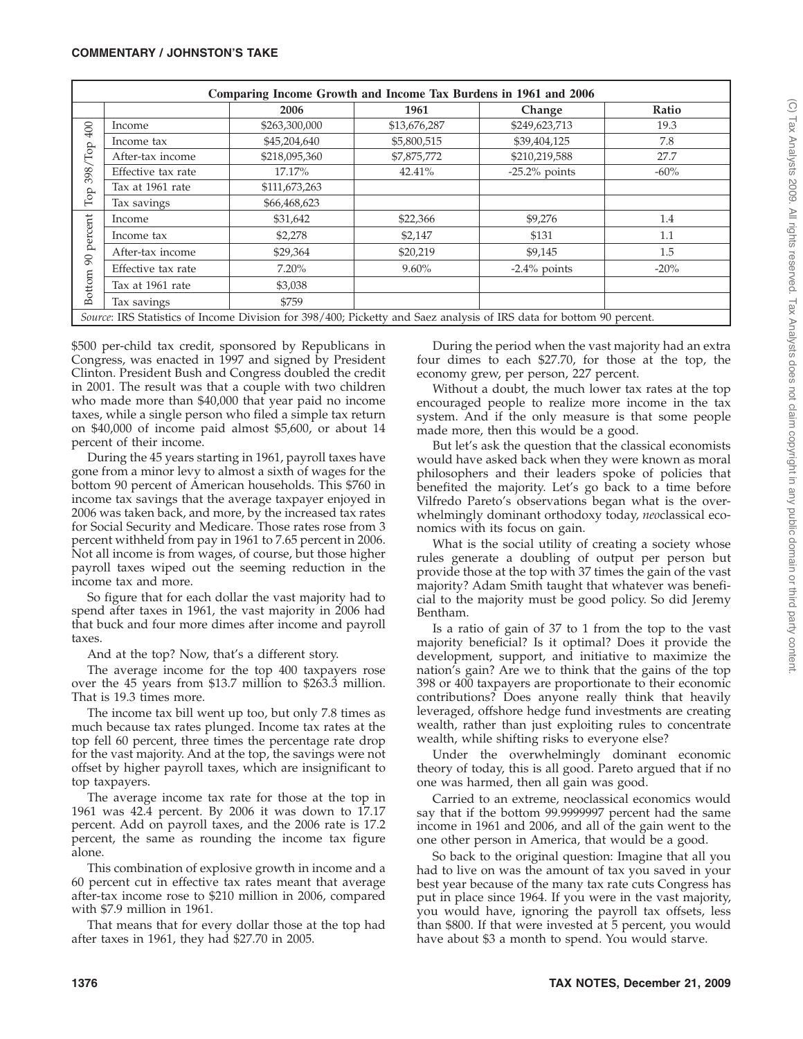| Comparing Income Growth and Income Tax Burdens in 1961 and 2006                                                      |                    |               |              |                  |         |
|----------------------------------------------------------------------------------------------------------------------|--------------------|---------------|--------------|------------------|---------|
|                                                                                                                      |                    | 2006          | 1961         | Change           | Ratio   |
| 400<br>$\mathop{\mathrm{Top}}$<br>398/<br>$\mathop{\mathrm{Top}}$                                                    | Income             | \$263,300,000 | \$13,676,287 | \$249,623,713    | 19.3    |
|                                                                                                                      | Income tax         | \$45,204,640  | \$5,800,515  | \$39,404,125     | 7.8     |
|                                                                                                                      | After-tax income   | \$218,095,360 | \$7,875,772  | \$210,219,588    | 27.7    |
|                                                                                                                      | Effective tax rate | 17.17%        | 42.41%       | $-25.2\%$ points | $-60\%$ |
|                                                                                                                      | Tax at 1961 rate   | \$111,673,263 |              |                  |         |
|                                                                                                                      | Tax savings        | \$66,468,623  |              |                  |         |
| percent<br>$\infty$<br>Bottom                                                                                        | Income             | \$31,642      | \$22,366     | \$9,276          | 1.4     |
|                                                                                                                      | Income tax         | \$2,278       | \$2,147      | \$131            | 1.1     |
|                                                                                                                      | After-tax income   | \$29,364      | \$20,219     | \$9,145          | 1.5     |
|                                                                                                                      | Effective tax rate | $7.20\%$      | $9.60\%$     | $-2.4\%$ points  | $-20%$  |
|                                                                                                                      | Tax at 1961 rate   | \$3,038       |              |                  |         |
|                                                                                                                      | Tax savings        | \$759         |              |                  |         |
| Source: IRS Statistics of Income Division for 398/400; Picketty and Saez analysis of IRS data for bottom 90 percent. |                    |               |              |                  |         |

\$500 per-child tax credit, sponsored by Republicans in Congress, was enacted in 1997 and signed by President Clinton. President Bush and Congress doubled the credit in 2001. The result was that a couple with two children who made more than \$40,000 that year paid no income taxes, while a single person who filed a simple tax return on \$40,000 of income paid almost \$5,600, or about 14 percent of their income.

During the 45 years starting in 1961, payroll taxes have gone from a minor levy to almost a sixth of wages for the bottom 90 percent of American households. This \$760 in income tax savings that the average taxpayer enjoyed in 2006 was taken back, and more, by the increased tax rates for Social Security and Medicare. Those rates rose from 3 percent withheld from pay in 1961 to 7.65 percent in 2006. Not all income is from wages, of course, but those higher payroll taxes wiped out the seeming reduction in the income tax and more.

So figure that for each dollar the vast majority had to spend after taxes in 1961, the vast majority in 2006 had that buck and four more dimes after income and payroll taxes.

And at the top? Now, that's a different story.

The average income for the top 400 taxpayers rose over the 45 years from \$13.7 million to \$263.3 million. That is 19.3 times more.

The income tax bill went up too, but only 7.8 times as much because tax rates plunged. Income tax rates at the top fell 60 percent, three times the percentage rate drop for the vast majority. And at the top, the savings were not offset by higher payroll taxes, which are insignificant to top taxpayers.

The average income tax rate for those at the top in 1961 was 42.4 percent. By 2006 it was down to 17.17 percent. Add on payroll taxes, and the 2006 rate is 17.2 percent, the same as rounding the income tax figure alone.

This combination of explosive growth in income and a 60 percent cut in effective tax rates meant that average after-tax income rose to \$210 million in 2006, compared with \$7.9 million in 1961.

That means that for every dollar those at the top had after taxes in 1961, they had \$27.70 in 2005.

During the period when the vast majority had an extra four dimes to each \$27.70, for those at the top, the economy grew, per person, 227 percent.

Without a doubt, the much lower tax rates at the top encouraged people to realize more income in the tax system. And if the only measure is that some people made more, then this would be a good.

But let's ask the question that the classical economists would have asked back when they were known as moral philosophers and their leaders spoke of policies that benefited the majority. Let's go back to a time before Vilfredo Pareto's observations began what is the overwhelmingly dominant orthodoxy today, *neo*classical economics with its focus on gain.

What is the social utility of creating a society whose rules generate a doubling of output per person but provide those at the top with 37 times the gain of the vast majority? Adam Smith taught that whatever was beneficial to the majority must be good policy. So did Jeremy Bentham.

Is a ratio of gain of 37 to 1 from the top to the vast majority beneficial? Is it optimal? Does it provide the development, support, and initiative to maximize the nation's gain? Are we to think that the gains of the top 398 or 400 taxpayers are proportionate to their economic contributions? Does anyone really think that heavily leveraged, offshore hedge fund investments are creating wealth, rather than just exploiting rules to concentrate wealth, while shifting risks to everyone else?

Under the overwhelmingly dominant economic theory of today, this is all good. Pareto argued that if no one was harmed, then all gain was good.

Carried to an extreme, neoclassical economics would say that if the bottom 99.9999997 percent had the same income in 1961 and 2006, and all of the gain went to the one other person in America, that would be a good.

So back to the original question: Imagine that all you had to live on was the amount of tax you saved in your best year because of the many tax rate cuts Congress has put in place since 1964. If you were in the vast majority, you would have, ignoring the payroll tax offsets, less than \$800. If that were invested at 5 percent, you would have about \$3 a month to spend. You would starve.